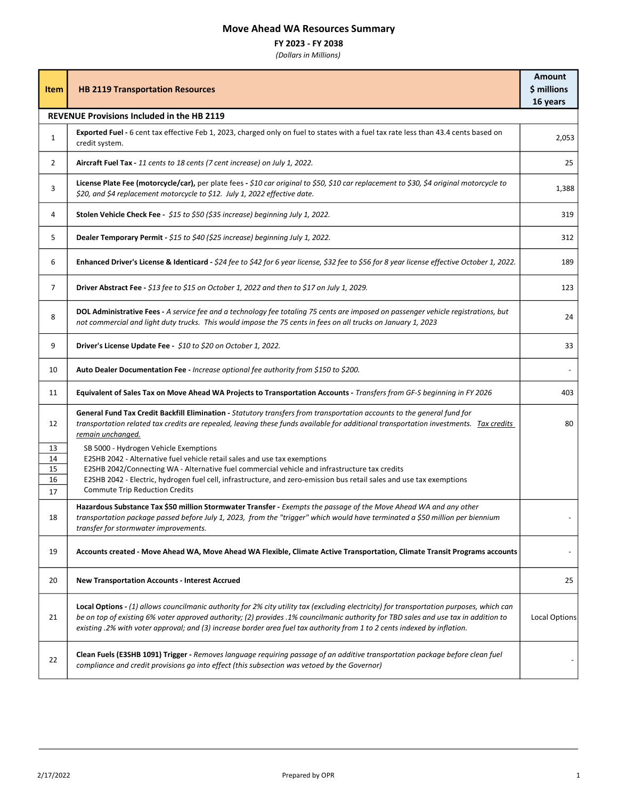## Move Ahead WA Resources Summary

## FY 2023 - FY 2038

(Dollars in Millions)

| <b>Item</b>                                       | <b>HB 2119 Transportation Resources</b>                                                                                                                                                                                                                                                                                                                                                                      | <b>Amount</b><br>\$ millions<br>16 years |  |
|---------------------------------------------------|--------------------------------------------------------------------------------------------------------------------------------------------------------------------------------------------------------------------------------------------------------------------------------------------------------------------------------------------------------------------------------------------------------------|------------------------------------------|--|
| <b>REVENUE Provisions Included in the HB 2119</b> |                                                                                                                                                                                                                                                                                                                                                                                                              |                                          |  |
| $\mathbf{1}$                                      | Exported Fuel - 6 cent tax effective Feb 1, 2023, charged only on fuel to states with a fuel tax rate less than 43.4 cents based on<br>credit system.                                                                                                                                                                                                                                                        | 2,053                                    |  |
| $\overline{2}$                                    | Aircraft Fuel Tax - 11 cents to 18 cents (7 cent increase) on July 1, 2022.                                                                                                                                                                                                                                                                                                                                  | 25                                       |  |
| 3                                                 | License Plate Fee (motorcycle/car), per plate fees - \$10 car original to \$50, \$10 car replacement to \$30, \$4 original motorcycle to<br>\$20, and \$4 replacement motorcycle to \$12. July 1, 2022 effective date.                                                                                                                                                                                       | 1,388                                    |  |
| 4                                                 | Stolen Vehicle Check Fee - \$15 to \$50 (\$35 increase) beginning July 1, 2022.                                                                                                                                                                                                                                                                                                                              | 319                                      |  |
| 5                                                 | Dealer Temporary Permit - \$15 to \$40 (\$25 increase) beginning July 1, 2022.                                                                                                                                                                                                                                                                                                                               | 312                                      |  |
| 6                                                 | Enhanced Driver's License & Identicard - \$24 fee to \$42 for 6 year license, \$32 fee to \$56 for 8 year license effective October 1, 2022.                                                                                                                                                                                                                                                                 | 189                                      |  |
| $\overline{7}$                                    | Driver Abstract Fee - \$13 fee to \$15 on October 1, 2022 and then to \$17 on July 1, 2029.                                                                                                                                                                                                                                                                                                                  | 123                                      |  |
| 8                                                 | DOL Administrative Fees - A service fee and a technology fee totaling 75 cents are imposed on passenger vehicle registrations, but<br>not commercial and light duty trucks. This would impose the 75 cents in fees on all trucks on January 1, 2023                                                                                                                                                          | 24                                       |  |
| 9                                                 | Driver's License Update Fee - \$10 to \$20 on October 1, 2022.                                                                                                                                                                                                                                                                                                                                               | 33                                       |  |
| 10                                                | Auto Dealer Documentation Fee - Increase optional fee authority from \$150 to \$200.                                                                                                                                                                                                                                                                                                                         |                                          |  |
| 11                                                | Equivalent of Sales Tax on Move Ahead WA Projects to Transportation Accounts - Transfers from GF-S beginning in FY 2026                                                                                                                                                                                                                                                                                      | 403                                      |  |
| 12                                                | General Fund Tax Credit Backfill Elimination - Statutory transfers from transportation accounts to the general fund for<br>transportation related tax credits are repealed, leaving these funds available for additional transportation investments. Tax credits<br>remain unchanged.                                                                                                                        | 80                                       |  |
| 13<br>14                                          | SB 5000 - Hydrogen Vehicle Exemptions<br>E2SHB 2042 - Alternative fuel vehicle retail sales and use tax exemptions                                                                                                                                                                                                                                                                                           |                                          |  |
| 15                                                | E2SHB 2042/Connecting WA - Alternative fuel commercial vehicle and infrastructure tax credits<br>E2SHB 2042 - Electric, hydrogen fuel cell, infrastructure, and zero-emission bus retail sales and use tax exemptions                                                                                                                                                                                        |                                          |  |
| 16<br>17                                          | <b>Commute Trip Reduction Credits</b>                                                                                                                                                                                                                                                                                                                                                                        |                                          |  |
| 18                                                | Hazardous Substance Tax \$50 million Stormwater Transfer - Exempts the passage of the Move Ahead WA and any other<br>transportation package passed before July 1, 2023, from the "trigger" which would have terminated a \$50 million per biennium<br>transfer for stormwater improvements.                                                                                                                  |                                          |  |
| 19                                                | Accounts created - Move Ahead WA, Move Ahead WA Flexible, Climate Active Transportation, Climate Transit Programs accounts                                                                                                                                                                                                                                                                                   |                                          |  |
| 20                                                | <b>New Transportation Accounts - Interest Accrued</b>                                                                                                                                                                                                                                                                                                                                                        | 25                                       |  |
| 21                                                | Local Options - (1) allows councilmanic authority for 2% city utility tax (excluding electricity) for transportation purposes, which can<br>be on top of existing 6% voter approved authority; (2) provides .1% councilmanic authority for TBD sales and use tax in addition to<br>existing .2% with voter approval; and (3) increase border area fuel tax authority from 1 to 2 cents indexed by inflation. | <b>Local Options</b>                     |  |
| 22                                                | Clean Fuels (E3SHB 1091) Trigger - Removes language requiring passage of an additive transportation package before clean fuel<br>compliance and credit provisions go into effect (this subsection was vetoed by the Governor)                                                                                                                                                                                |                                          |  |